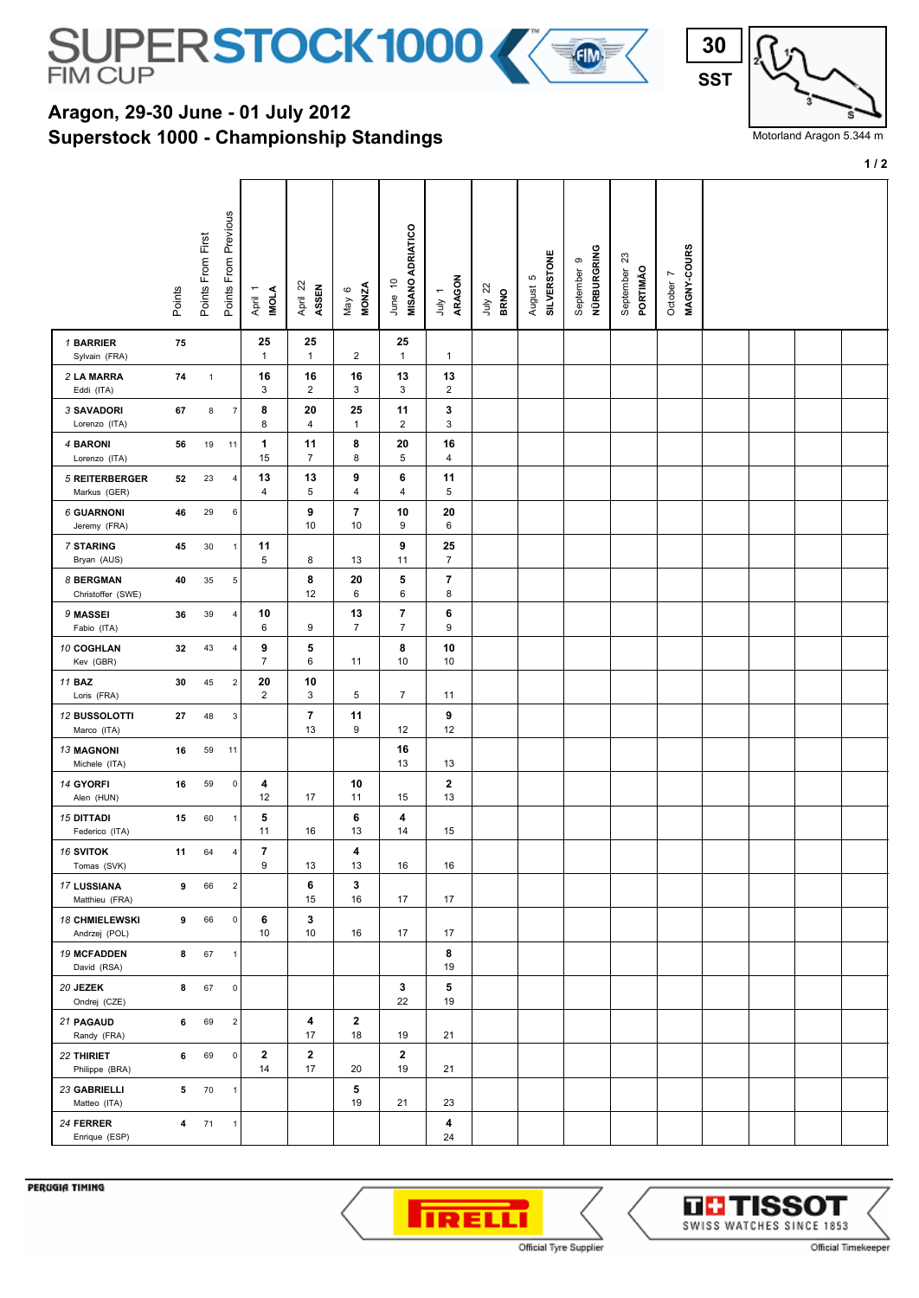

## **Superstock 1000 - Championship Standings Aragon, 29-30 June - 01 July 2012**



Motorland Aragon 5.344 m

**1 / 2**

|                                       | Points | Points From First | From Previous<br>Points I | <b>IMOLA</b><br>April 1 | April 22<br>ASSEN    | <b>MONZA</b><br>May 6          | <b>MISANO ADRIATICO</b><br>June 10 | ARAGON<br>$\overline{\phantom{0}}$<br>уInr | $\overline{2}$<br><b>BRNO</b><br>ληr | <b>SILVERSTONE</b><br>5<br>August | NÜRBURGRING<br>ၜ<br>September | ಔ<br>PORTIMÃO<br>September | MAGNY-COURS<br>$\overline{ }$<br>October |  |  |
|---------------------------------------|--------|-------------------|---------------------------|-------------------------|----------------------|--------------------------------|------------------------------------|--------------------------------------------|--------------------------------------|-----------------------------------|-------------------------------|----------------------------|------------------------------------------|--|--|
| 1 BARRIER<br>Sylvain (FRA)            | 75     |                   |                           | 25<br>$\mathbf{1}$      | 25<br>$\mathbf{1}$   | $\overline{2}$                 | 25<br>$\mathbf{1}$                 | $\mathbf{1}$                               |                                      |                                   |                               |                            |                                          |  |  |
| 2 LA MARRA<br>Eddi (ITA)              | 74     | $\mathbf{1}$      |                           | 16<br>3                 | 16<br>$\overline{2}$ | 16<br>3                        | 13<br>3                            | 13<br>$\overline{c}$                       |                                      |                                   |                               |                            |                                          |  |  |
| 3 SAVADORI<br>Lorenzo (ITA)           | 67     | $\bf8$            | $\overline{7}$            | 8<br>8                  | 20<br>$\overline{4}$ | 25<br>$\mathbf{1}$             | 11<br>$\overline{2}$               | 3<br>3                                     |                                      |                                   |                               |                            |                                          |  |  |
| 4 BARONI<br>Lorenzo (ITA)             | 56     | 19                | 11                        | 1<br>15                 | 11<br>$\overline{7}$ | 8<br>8                         | 20<br>5                            | 16<br>4                                    |                                      |                                   |                               |                            |                                          |  |  |
| <b>5 REITERBERGER</b><br>Markus (GER) | 52     | 23                | 4                         | 13<br>4                 | 13<br>5              | 9<br>4                         | 6<br>4                             | 11<br>5                                    |                                      |                                   |                               |                            |                                          |  |  |
| <b>6 GUARNONI</b><br>Jeremy (FRA)     | 46     | 29                | 6                         |                         | 9<br>10              | $\overline{\phantom{a}}$<br>10 | 10<br>9                            | 20<br>6                                    |                                      |                                   |                               |                            |                                          |  |  |
| <b>7 STARING</b><br>Bryan (AUS)       | 45     | 30                | $\mathbf{1}$              | 11<br>5                 | 8                    | 13                             | 9<br>11                            | 25<br>$\overline{7}$                       |                                      |                                   |                               |                            |                                          |  |  |
| 8 BERGMAN<br>Christoffer (SWE)        | 40     | 35                | 5                         |                         | 8<br>12              | 20<br>6                        | 5<br>6                             | $\overline{7}$<br>8                        |                                      |                                   |                               |                            |                                          |  |  |
| 9 MASSEI<br>Fabio (ITA)               | 36     | 39                | $\overline{4}$            | 10<br>6                 | 9                    | 13<br>$\overline{7}$           | 7<br>$\overline{7}$                | 6<br>9                                     |                                      |                                   |                               |                            |                                          |  |  |
| 10 COGHLAN<br>Kev (GBR)               | 32     | 43                | $\overline{4}$            | 9<br>$\overline{7}$     | 5<br>6               | 11                             | 8<br>10                            | 10<br>10                                   |                                      |                                   |                               |                            |                                          |  |  |
| <b>11 BAZ</b><br>Loris (FRA)          | 30     | 45                | $\overline{2}$            | 20<br>$\overline{c}$    | 10<br>3              | 5                              | $\overline{7}$                     | 11                                         |                                      |                                   |                               |                            |                                          |  |  |
| 12 BUSSOLOTTI<br>Marco (ITA)          | 27     | 48                | $\mathbf{3}$              |                         | 7<br>13              | 11<br>9                        | 12                                 | 9<br>12                                    |                                      |                                   |                               |                            |                                          |  |  |
| <b>13 MAGNONI</b><br>Michele (ITA)    | 16     | 59                | 11                        |                         |                      |                                | 16<br>13                           | 13                                         |                                      |                                   |                               |                            |                                          |  |  |
| 14 GYORFI<br>Alen (HUN)               | 16     | 59                | 0                         | 4<br>12                 | 17                   | 10<br>11                       | 15                                 | $\mathbf{2}$<br>13                         |                                      |                                   |                               |                            |                                          |  |  |
| <b>15 DITTADI</b><br>Federico (ITA)   | 15     | 60                | $\mathbf{1}$              | 5<br>11                 | 16                   | 6<br>13                        | 4<br>14                            | 15                                         |                                      |                                   |                               |                            |                                          |  |  |
| <b>16 SVITOK</b><br>Tomas (SVK)       | 11     | 64                | $\overline{4}$            | 7<br>9                  | 13                   | 4<br>13                        | 16                                 | 16                                         |                                      |                                   |                               |                            |                                          |  |  |
| 17 LUSSIANA<br>Matthieu (FRA)         | 9      | 66                | $\overline{2}$            |                         | 6<br>15              | 3<br>16                        | 17                                 | 17                                         |                                      |                                   |                               |                            |                                          |  |  |
| 18 CHMIELEWSKI<br>Andrzej (POL)       | 9      | 66                | 0                         | 6<br>10                 | 3<br>10              | 16                             | 17                                 | 17                                         |                                      |                                   |                               |                            |                                          |  |  |
| <b>19 MCFADDEN</b><br>David (RSA)     | 8      | 67                | $\mathbf{1}$              |                         |                      |                                |                                    | 8<br>19                                    |                                      |                                   |                               |                            |                                          |  |  |
| 20 JEZEK<br>Ondrej (CZE)              | 8      | 67                | $\mathbf 0$               |                         |                      |                                | 3<br>22                            | 5<br>19                                    |                                      |                                   |                               |                            |                                          |  |  |
| 21 PAGAUD<br>Randy (FRA)              | 6      | 69                | $\overline{2}$            |                         | 4<br>17              | $\mathbf{2}$<br>18             | 19                                 | 21                                         |                                      |                                   |                               |                            |                                          |  |  |
| 22 THIRIET<br>Philippe (BRA)          | 6      | 69                | $\mathbf 0$               | $\mathbf 2$<br>14       | $\mathbf{2}$<br>17   | 20                             | $\mathbf{2}$<br>19                 | 21                                         |                                      |                                   |                               |                            |                                          |  |  |
| 23 GABRIELLI<br>Matteo (ITA)          | 5      | 70                | $\mathbf{1}$              |                         |                      | 5<br>19                        | 21                                 | 23                                         |                                      |                                   |                               |                            |                                          |  |  |
| 24 FERRER<br>Enrique (ESP)            | 4      | 71                | 1                         |                         |                      |                                |                                    | 4<br>24                                    |                                      |                                   |                               |                            |                                          |  |  |

PERUGIA TIMING



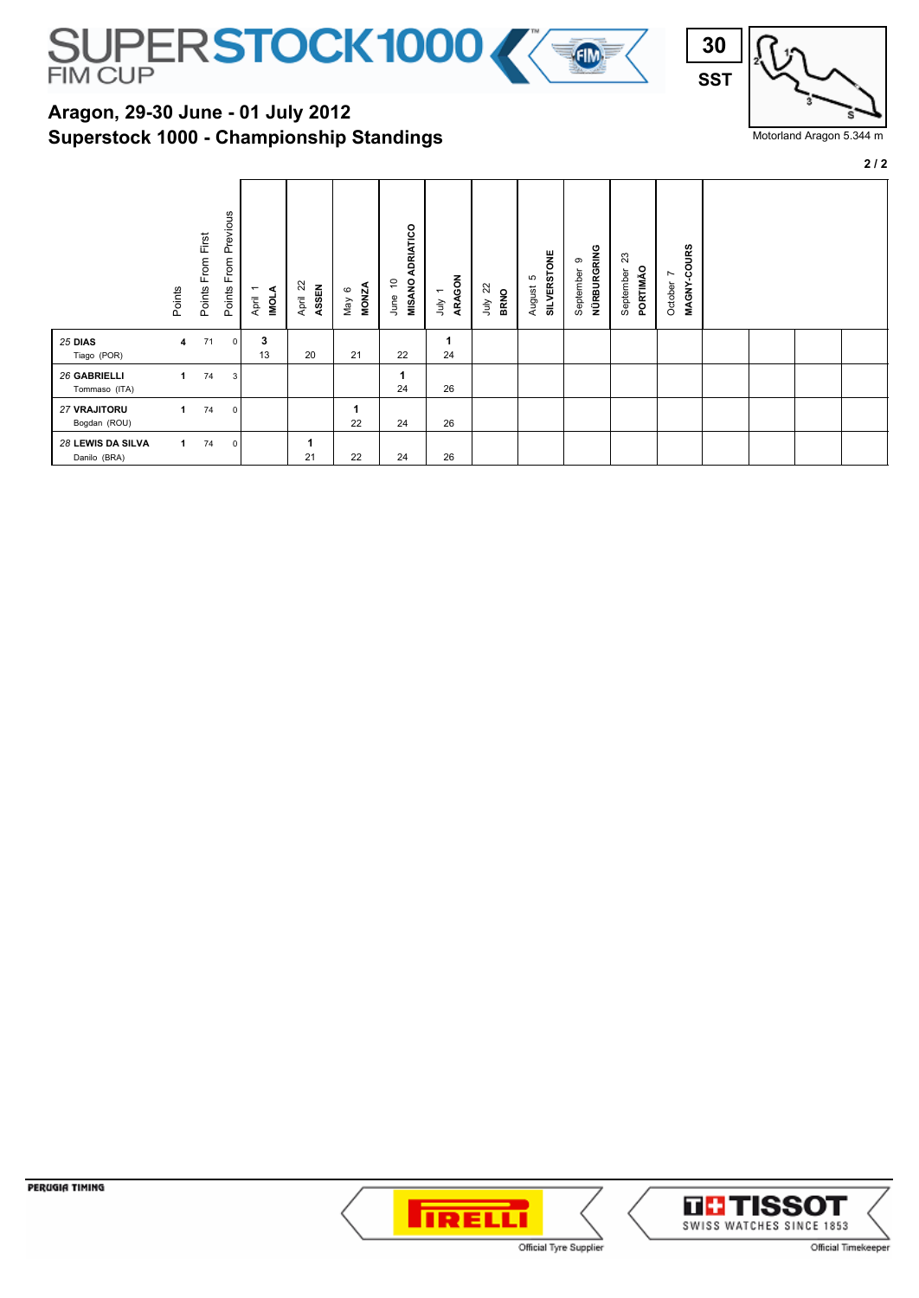

## **Superstock 1000 - Championship Standings Aragon, 29-30 June - 01 July 2012**



Motorland Aragon 5.344 m

**2 / 2**

|                                   | Points | Points From First | Previous<br>From<br>Points | ⋖<br>$\overline{\phantom{0}}$<br><b>IDNI</b><br>April | 22<br>ASSEN<br>April | <b>MONZA</b><br>$\circ$<br>Nay | ADRIATICO<br><b>MISANO</b><br>5<br>June | ARAGON<br>$\overline{\phantom{0}}$<br>ληr | 22<br><b>BRNO</b><br>λη | <b>SILVERSTONE</b><br>S<br>August | NÜRBURGRING<br>ၜ<br>September | ಙ<br>PORTIMÃO<br>September | MAGNY-COURS<br>$\overline{ }$<br>October |  |  |
|-----------------------------------|--------|-------------------|----------------------------|-------------------------------------------------------|----------------------|--------------------------------|-----------------------------------------|-------------------------------------------|-------------------------|-----------------------------------|-------------------------------|----------------------------|------------------------------------------|--|--|
| 25 DIAS<br>Tiago (POR)            | 4      | 71                | $\Omega$                   | 3<br>13                                               | 20                   | 21                             | 22                                      | 24                                        |                         |                                   |                               |                            |                                          |  |  |
| 26 GABRIELLI<br>Tommaso (ITA)     | 1      | 74                | 3                          |                                                       |                      |                                | 1<br>24                                 | 26                                        |                         |                                   |                               |                            |                                          |  |  |
| 27 VRAJITORU<br>Bogdan (ROU)      | 1      | 74                | $\mathbf 0$                |                                                       |                      | 22                             | 24                                      | 26                                        |                         |                                   |                               |                            |                                          |  |  |
| 28 LEWIS DA SILVA<br>Danilo (BRA) | 1.     | 74                | 0                          |                                                       | 21                   | 22                             | 24                                      | 26                                        |                         |                                   |                               |                            |                                          |  |  |

**TRELL** Official Tyre Supplier

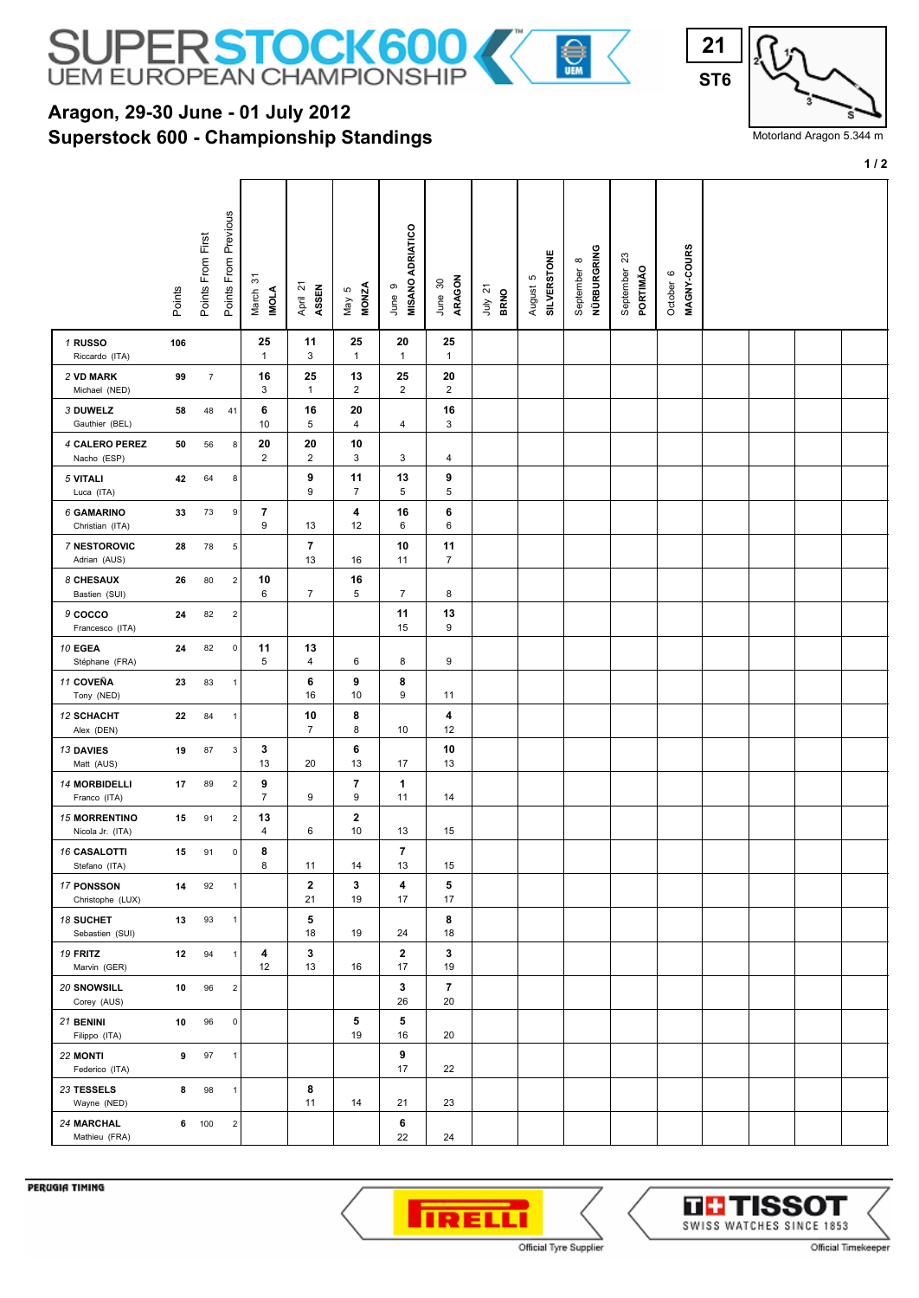

## **Superstock 600 - Championship Standings Aragon, 29-30 June - 01 July 2012**



Motorland Aragon 5.344 m

**1 / 2**

|                                          | Points | Points From First | Points From Previous      | ᡖ<br>March<br><b>INOLA</b>    | April 21<br>ASSEN    | <b>MONZA</b><br>May 5        | <b>MISANO ADRIATICO</b><br>ၜ<br>June | ARAGON<br>$30\,$<br>June | $\overline{z}$<br><b>BRNO</b><br>ylnr | <b>SILVERSTONE</b><br>ю<br>August | NÜRBURGRING<br>$\infty$<br>September | ಔ<br>PORTIMÃO<br>September | MAGNY-COURS<br>October 6 |  |  |
|------------------------------------------|--------|-------------------|---------------------------|-------------------------------|----------------------|------------------------------|--------------------------------------|--------------------------|---------------------------------------|-----------------------------------|--------------------------------------|----------------------------|--------------------------|--|--|
| 1 RUSSO<br>Riccardo (ITA)                | 106    |                   |                           | 25<br>$\mathbf{1}$            | 11<br>3              | 25<br>$\mathbf{1}$           | 20<br>$\mathbf{1}$                   | 25<br>$\mathbf{1}$       |                                       |                                   |                                      |                            |                          |  |  |
| 2 VD MARK<br>Michael (NED)               | 99     | $\overline{7}$    |                           | 16<br>3                       | 25<br>$\mathbf{1}$   | 13<br>$\overline{2}$         | 25<br>$\overline{2}$                 | 20<br>$\overline{2}$     |                                       |                                   |                                      |                            |                          |  |  |
| 3 DUWELZ<br>Gauthier (BEL)               | 58     | 48                | 41                        | 6<br>10                       | 16<br>5              | 20<br>4                      | 4                                    | 16<br>3                  |                                       |                                   |                                      |                            |                          |  |  |
| 4 CALERO PEREZ<br>Nacho (ESP)            | 50     | 56                | 8                         | 20<br>$\overline{\mathbf{c}}$ | 20<br>$\overline{2}$ | 10<br>3                      | 3                                    | 4                        |                                       |                                   |                                      |                            |                          |  |  |
| 5 VITALI<br>Luca (ITA)                   | 42     | 64                | 8                         |                               | 9<br>9               | 11<br>$\overline{7}$         | 13<br>5                              | 9<br>5                   |                                       |                                   |                                      |                            |                          |  |  |
| <b>6 GAMARINO</b><br>Christian (ITA)     | 33     | 73                | 9                         | 7<br>9                        | 13                   | 4<br>12                      | 16<br>6                              | 6<br>6                   |                                       |                                   |                                      |                            |                          |  |  |
| <b>7 NESTOROVIC</b><br>Adrian (AUS)      | 28     | 78                | 5                         |                               | 7<br>13              | 16                           | 10<br>11                             | 11<br>$\overline{7}$     |                                       |                                   |                                      |                            |                          |  |  |
| 8 CHESAUX<br>Bastien (SUI)               | 26     | 80                | $\mathbf 2$               | 10<br>6                       | 7                    | 16<br>5                      | $\overline{7}$                       | 8                        |                                       |                                   |                                      |                            |                          |  |  |
| 9 COCCO<br>Francesco (ITA)               | 24     | 82                | $\sqrt{2}$                |                               |                      |                              | 11<br>15                             | 13<br>9                  |                                       |                                   |                                      |                            |                          |  |  |
| 10 EGEA<br>Stéphane (FRA)                | 24     | 82                | $\mathsf 0$               | 11<br>5                       | 13<br>4              | 6                            | 8                                    | 9                        |                                       |                                   |                                      |                            |                          |  |  |
| 11 COVEÑA<br>Tony (NED)                  | 23     | 83                | 1                         |                               | 6<br>16              | 9<br>10                      | 8<br>9                               | 11                       |                                       |                                   |                                      |                            |                          |  |  |
| <b>12 SCHACHT</b><br>Alex (DEN)          | 22     | 84                | $\mathbf{1}$              |                               | 10<br>7              | 8<br>8                       | 10                                   | 4<br>12                  |                                       |                                   |                                      |                            |                          |  |  |
| <b>13 DAVIES</b><br>Matt (AUS)           | 19     | 87                | $\ensuremath{\mathsf{3}}$ | 3<br>13                       | 20                   | 6<br>13                      | 17                                   | 10<br>13                 |                                       |                                   |                                      |                            |                          |  |  |
| <b>14 MORBIDELLI</b><br>Franco (ITA)     | 17     | 89                | $\overline{2}$            | 9<br>$\overline{7}$           | 9                    | $\overline{\mathbf{r}}$<br>9 | $\mathbf 1$<br>11                    | 14                       |                                       |                                   |                                      |                            |                          |  |  |
| <b>15 MORRENTINO</b><br>Nicola Jr. (ITA) | 15     | 91                | $\overline{2}$            | 13<br>4                       | 6                    | $\mathbf{2}$<br>10           | 13                                   | 15                       |                                       |                                   |                                      |                            |                          |  |  |
| <b>16 CASALOTTI</b><br>Stefano (ITA)     | 15     | 91                | $\mathsf 0$               | 8<br>8                        | 11                   | 14                           | $\overline{\phantom{a}}$<br>13       | 15                       |                                       |                                   |                                      |                            |                          |  |  |
| 17 PONSSON<br>Christophe (LUX)           | 14     | 92                | $\mathbf{1}$              |                               | $\mathbf{2}$<br>21   | 3<br>19                      | 4<br>17                              | 5<br>17                  |                                       |                                   |                                      |                            |                          |  |  |
| 18 SUCHET<br>Sebastien (SUI)             | 13     | 93                | $\mathbf{1}$              |                               | 5<br>18              | 19                           | 24                                   | 8<br>18                  |                                       |                                   |                                      |                            |                          |  |  |
| 19 FRITZ<br>Marvin (GER)                 | 12     | 94                | $\mathbf{1}$              | 4<br>12                       | 3<br>13              | 16                           | $\mathbf{2}$<br>17                   | 3<br>19                  |                                       |                                   |                                      |                            |                          |  |  |
| 20 SNOWSILL<br>Corey (AUS)               | 10     | 96                | $\overline{2}$            |                               |                      |                              | 3<br>26                              | $\overline{7}$<br>20     |                                       |                                   |                                      |                            |                          |  |  |
| 21 BENINI<br>Filippo (ITA)               | 10     | 96                | $\mathbf 0$               |                               |                      | 5<br>19                      | 5<br>16                              | 20                       |                                       |                                   |                                      |                            |                          |  |  |
| 22 MONTI<br>Federico (ITA)               | 9      | 97                | $\mathbf{1}$              |                               |                      |                              | 9<br>17                              | 22                       |                                       |                                   |                                      |                            |                          |  |  |
| 23 TESSELS<br>Wayne (NED)                | 8      | 98                | $\mathbf{1}$              |                               | 8<br>11              | 14                           | 21                                   | 23                       |                                       |                                   |                                      |                            |                          |  |  |
| 24 MARCHAL<br>Mathieu (FRA)              |        | 6 100             | $\overline{2}$            |                               |                      |                              | 6<br>22                              | 24                       |                                       |                                   |                                      |                            |                          |  |  |

PERUGIA TIMING



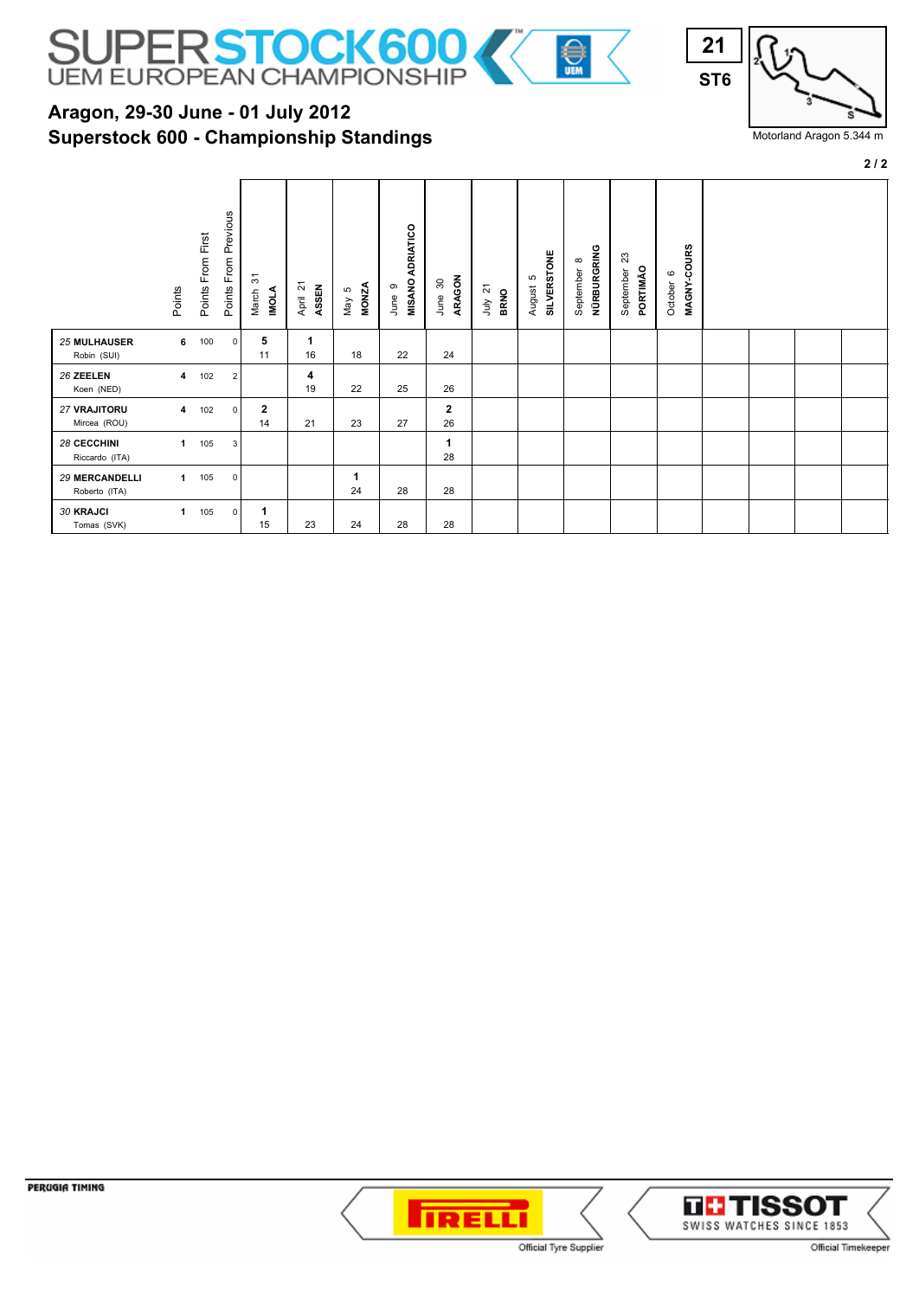

## **Superstock 600 - Championship Standings Aragon, 29-30 June - 01 July 2012**



Motorland Aragon 5.344 m

**2 / 2**

|                                        | Points       | Points From First | From Previous<br>Points | 5<br><b>INOLA</b><br>March | $\overline{2}$<br>ASSEN<br>April | <b>MONZA</b><br>$\mathfrak{S}$<br>May | <b>MISANO ADRIATICO</b><br>ၜ<br>June | ARAGON<br>30<br>June       | 21<br><b>BRNO</b><br>言 | <b>SILVERSTONE</b><br>Б<br>August | NÜRBURGRING<br>$\infty$<br>September | ಔ<br>PORTIMÃO<br>September | MAGNY-COURS<br>$\circ$<br>October |  |  |
|----------------------------------------|--------------|-------------------|-------------------------|----------------------------|----------------------------------|---------------------------------------|--------------------------------------|----------------------------|------------------------|-----------------------------------|--------------------------------------|----------------------------|-----------------------------------|--|--|
| <b>25 MULHAUSER</b><br>Robin (SUI)     | 6            | 100               | $\mathbf 0$             | 5<br>11                    | 1<br>16                          | 18                                    | 22                                   | 24                         |                        |                                   |                                      |                            |                                   |  |  |
| 26 ZEELEN<br>Koen (NED)                | 4            | 102               | $\overline{2}$          |                            | 4<br>19                          | 22                                    | 25                                   | 26                         |                        |                                   |                                      |                            |                                   |  |  |
| 27 VRAJITORU<br>Mircea (ROU)           | 4            | 102               | $\mathsf 0$             | $\mathbf{2}$<br>14         | 21                               | 23                                    | 27                                   | $\mathbf{2}$<br>26         |                        |                                   |                                      |                            |                                   |  |  |
| 28 CECCHINI<br>Riccardo (ITA)          | $\mathbf{1}$ | 105               | 3                       |                            |                                  |                                       |                                      | $\blacktriangleleft$<br>28 |                        |                                   |                                      |                            |                                   |  |  |
| <b>29 MERCANDELLI</b><br>Roberto (ITA) | $\mathbf{1}$ | 105               | $\mathsf 0$             |                            |                                  | 24                                    | 28                                   | 28                         |                        |                                   |                                      |                            |                                   |  |  |
| <b>30 KRAJCI</b><br>Tomas (SVK)        | $\mathbf{1}$ | 105               | $\mathbf 0$             | -1<br>15                   | 23                               | 24                                    | 28                                   | 28                         |                        |                                   |                                      |                            |                                   |  |  |

PERUGIA TIMING